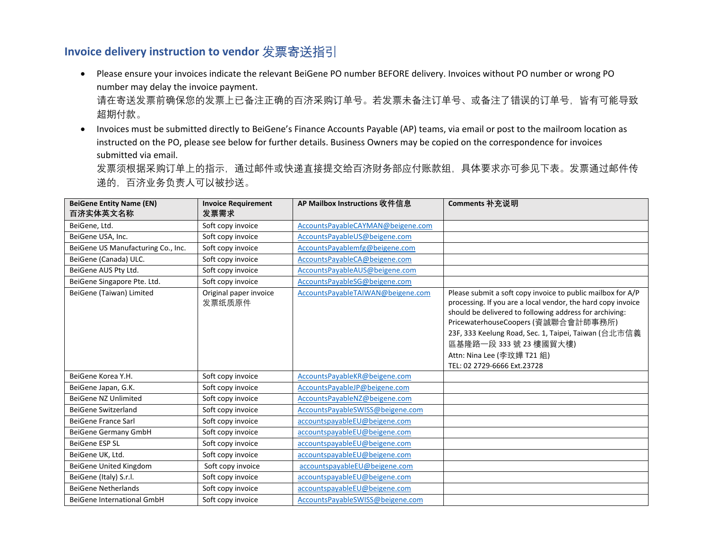## **Invoice delivery instruction to vendor** 发票寄送指引

- Please ensure your invoices indicate the relevant BeiGene PO number BEFORE delivery. Invoices without PO number or wrong PO number may delay the invoice payment. 请在寄送发票前确保您的发票上已备注正确的百济采购订单号。若发票未备注订单号、或备注了错误的订单号,皆有可能导致 超期付款。
- Invoices must be submitted directly to BeiGene's Finance Accounts Payable (AP) teams, via email or post to the mailroom location as instructed on the PO, please see below for further details. Business Owners may be copied on the correspondence for invoices submitted via email. 发票须根据采购订单上的指示,通过邮件或快递直接提交给百济财务部应付账款组,具体要求亦可参见下表。发票通过邮件传 递的,百济业务负责人可以被抄送。

| <b>BeiGene Entity Name (EN)</b><br>百济实体英文名称 | <b>Invoice Requirement</b><br>发票需求 | AP Mailbox Instructions 收件信息      | Comments 补充说明                                                                                                                                                                                                                                                                                                                                                               |
|---------------------------------------------|------------------------------------|-----------------------------------|-----------------------------------------------------------------------------------------------------------------------------------------------------------------------------------------------------------------------------------------------------------------------------------------------------------------------------------------------------------------------------|
| BeiGene, Ltd.                               | Soft copy invoice                  | AccountsPayableCAYMAN@beigene.com |                                                                                                                                                                                                                                                                                                                                                                             |
| BeiGene USA, Inc.                           | Soft copy invoice                  | AccountsPayableUS@beigene.com     |                                                                                                                                                                                                                                                                                                                                                                             |
| BeiGene US Manufacturing Co., Inc.          | Soft copy invoice                  | AccountsPayablemfg@beigene.com    |                                                                                                                                                                                                                                                                                                                                                                             |
| BeiGene (Canada) ULC.                       | Soft copy invoice                  | AccountsPayableCA@beigene.com     |                                                                                                                                                                                                                                                                                                                                                                             |
| BeiGene AUS Pty Ltd.                        | Soft copy invoice                  | AccountsPayableAUS@beigene.com    |                                                                                                                                                                                                                                                                                                                                                                             |
| BeiGene Singapore Pte. Ltd.                 | Soft copy invoice                  | AccountsPayableSG@beigene.com     |                                                                                                                                                                                                                                                                                                                                                                             |
| BeiGene (Taiwan) Limited                    | Original paper invoice<br>发票纸质原件   | AccountsPayableTAIWAN@beigene.com | Please submit a soft copy invoice to public mailbox for A/P<br>processing. If you are a local vendor, the hard copy invoice<br>should be delivered to following address for archiving:<br>PricewaterhouseCoopers (資誠聯合會計師事務所)<br>23F, 333 Keelung Road, Sec. 1, Taipei, Taiwan (台北市信義<br>區基隆路一段 333號 23 樓國貿大樓)<br>Attn: Nina Lee (李玟嬅 T21 組)<br>TEL: 02 2729-6666 Ext.23728 |
| BeiGene Korea Y.H.                          | Soft copy invoice                  | AccountsPayableKR@beigene.com     |                                                                                                                                                                                                                                                                                                                                                                             |
| BeiGene Japan, G.K.                         | Soft copy invoice                  | AccountsPayableJP@beigene.com     |                                                                                                                                                                                                                                                                                                                                                                             |
| BeiGene NZ Unlimited                        | Soft copy invoice                  | AccountsPayableNZ@beigene.com     |                                                                                                                                                                                                                                                                                                                                                                             |
| <b>BeiGene Switzerland</b>                  | Soft copy invoice                  | AccountsPayableSWISS@beigene.com  |                                                                                                                                                                                                                                                                                                                                                                             |
| BeiGene France Sarl                         | Soft copy invoice                  | accountspayableEU@beigene.com     |                                                                                                                                                                                                                                                                                                                                                                             |
| BeiGene Germany GmbH                        | Soft copy invoice                  | accountspayableEU@beigene.com     |                                                                                                                                                                                                                                                                                                                                                                             |
| BeiGene ESP SL                              | Soft copy invoice                  | accountspayableEU@beigene.com     |                                                                                                                                                                                                                                                                                                                                                                             |
| BeiGene UK, Ltd.                            | Soft copy invoice                  | accountspayableEU@beigene.com     |                                                                                                                                                                                                                                                                                                                                                                             |
| BeiGene United Kingdom                      | Soft copy invoice                  | accountspayableEU@beigene.com     |                                                                                                                                                                                                                                                                                                                                                                             |
| BeiGene (Italy) S.r.l.                      | Soft copy invoice                  | accountspayableEU@beigene.com     |                                                                                                                                                                                                                                                                                                                                                                             |
| <b>BeiGene Netherlands</b>                  | Soft copy invoice                  | accountspayableEU@beigene.com     |                                                                                                                                                                                                                                                                                                                                                                             |
| BeiGene International GmbH                  | Soft copy invoice                  | AccountsPayableSWISS@beigene.com  |                                                                                                                                                                                                                                                                                                                                                                             |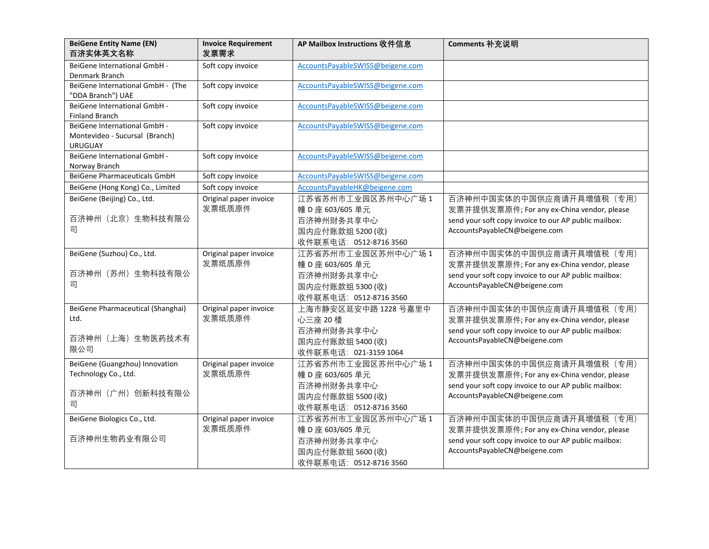| <b>BeiGene Entity Name (EN)</b><br>百济实体英文名称                                      | <b>Invoice Requirement</b><br>发票需求 | AP Mailbox Instructions 收件信息                                                                       | Comments 补充说明                                                                                                                                                     |
|----------------------------------------------------------------------------------|------------------------------------|----------------------------------------------------------------------------------------------------|-------------------------------------------------------------------------------------------------------------------------------------------------------------------|
| BeiGene International GmbH -<br>Denmark Branch                                   | Soft copy invoice                  | AccountsPayableSWISS@beigene.com                                                                   |                                                                                                                                                                   |
| BeiGene International GmbH - (The<br>"DDA Branch") UAE                           | Soft copy invoice                  | AccountsPayableSWISS@beigene.com                                                                   |                                                                                                                                                                   |
| BeiGene International GmbH -<br><b>Finland Branch</b>                            | Soft copy invoice                  | AccountsPayableSWISS@beigene.com                                                                   |                                                                                                                                                                   |
| BeiGene International GmbH -<br>Montevideo - Sucursal (Branch)<br><b>URUGUAY</b> | Soft copy invoice                  | AccountsPayableSWISS@beigene.com                                                                   |                                                                                                                                                                   |
| BeiGene International GmbH -<br>Norway Branch                                    | Soft copy invoice                  | AccountsPayableSWISS@beigene.com                                                                   |                                                                                                                                                                   |
| <b>BeiGene Pharmaceuticals GmbH</b>                                              | Soft copy invoice                  | AccountsPayableSWISS@beigene.com                                                                   |                                                                                                                                                                   |
| BeiGene (Hong Kong) Co., Limited                                                 | Soft copy invoice                  | AccountsPayableHK@beigene.com                                                                      |                                                                                                                                                                   |
| BeiGene (Beijing) Co., Ltd.<br>百济神州 (北京) 生物科技有限公<br>司                            | Original paper invoice<br>发票纸质原件   | 江苏省苏州市工业园区苏州中心广场 1<br>幢 D 座 603/605 单元<br>百济神州财务共享中心<br>国内应付账款组 5200 (收)<br>收件联系电话: 0512-8716 3560 | 百济神州中国实体的中国供应商请开具增值税 (专用)<br>发票并提供发票原件; For any ex-China vendor, please<br>send your soft copy invoice to our AP public mailbox:<br>AccountsPayableCN@beigene.com |
| BeiGene (Suzhou) Co., Ltd.<br>百济神州 (苏州) 生物科技有限公<br>司                             | Original paper invoice<br>发票纸质原件   | 江苏省苏州市工业园区苏州中心广场 1<br>幢 D 座 603/605 单元<br>百济神州财务共享中心<br>国内应付账款组 5300 (收)<br>收件联系电话: 0512-8716 3560 | 百济神州中国实体的中国供应商请开具增值税 (专用)<br>发票并提供发票原件; For any ex-China vendor, please<br>send your soft copy invoice to our AP public mailbox:<br>AccountsPayableCN@beigene.com |
| BeiGene Pharmaceutical (Shanghai)<br>Ltd.<br>百济神州 (上海) 生物医药技术有<br>限公司            | Original paper invoice<br>发票纸质原件   | 上海市静安区延安中路 1228 号嘉里中<br>心三座 20 楼<br>百济神州财务共享中心<br>国内应付账款组 5400 (收)<br>收件联系电话: 021-3159 1064        | 百济神州中国实体的中国供应商请开具增值税 (专用)<br>发票并提供发票原件; For any ex-China vendor, please<br>send your soft copy invoice to our AP public mailbox:<br>AccountsPayableCN@beigene.com |
| BeiGene (Guangzhou) Innovation<br>Technology Co., Ltd.<br>百济神州 (广州) 创新科技有限公<br>司 | Original paper invoice<br>发票纸质原件   | 江苏省苏州市工业园区苏州中心广场 1<br>幢 D 座 603/605 单元<br>百济神州财务共享中心<br>国内应付账款组 5500 (收)<br>收件联系电话: 0512-8716 3560 | 百济神州中国实体的中国供应商请开具增值税 (专用)<br>发票并提供发票原件; For any ex-China vendor, please<br>send your soft copy invoice to our AP public mailbox:<br>AccountsPayableCN@beigene.com |
| BeiGene Biologics Co., Ltd.<br>百济神州生物药业有限公司                                      | Original paper invoice<br>发票纸质原件   | 江苏省苏州市工业园区苏州中心广场 1<br>幢 D 座 603/605 单元<br>百济神州财务共享中心<br>国内应付账款组 5600 (收)<br>收件联系电话: 0512-8716 3560 | 百济神州中国实体的中国供应商请开具增值税 (专用)<br>发票并提供发票原件; For any ex-China vendor, please<br>send your soft copy invoice to our AP public mailbox:<br>AccountsPayableCN@beigene.com |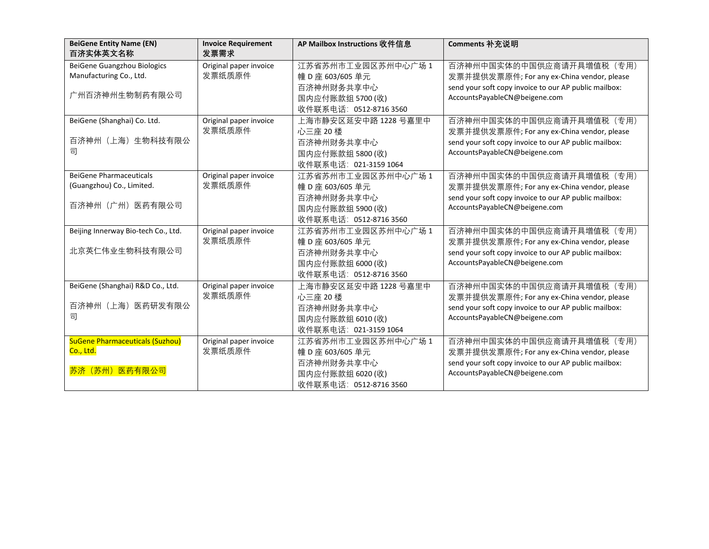| <b>BeiGene Entity Name (EN)</b><br>百济实体英文名称                   | <b>Invoice Requirement</b><br>发票需求 | AP Mailbox Instructions 收件信息                             | Comments 补充说明                                                                                                                    |
|---------------------------------------------------------------|------------------------------------|----------------------------------------------------------|----------------------------------------------------------------------------------------------------------------------------------|
| <b>BeiGene Guangzhou Biologics</b><br>Manufacturing Co., Ltd. | Original paper invoice<br>发票纸质原件   | 江苏省苏州市工业园区苏州中心广场 1<br>幢 D 座 603/605 单元                   | 百济神州中国实体的中国供应商请开具增值税 (专用)<br>发票并提供发票原件; For any ex-China vendor, please                                                          |
| 广州百济神州生物制药有限公司                                                |                                    | 百济神州财务共享中心<br>国内应付账款组 5700 (收)<br>收件联系电话: 0512-8716 3560 | send your soft copy invoice to our AP public mailbox:<br>AccountsPayableCN@beigene.com                                           |
| BeiGene (Shanghai) Co. Ltd.                                   | Original paper invoice<br>发票纸质原件   | 上海市静安区延安中路 1228 号嘉里中<br>心三座 20 楼                         | 百济神州中国实体的中国供应商请开具增值税 (专用)<br>发票并提供发票原件; For any ex-China vendor, please                                                          |
| 百济神州(上海)生物科技有限公<br>司                                          |                                    | 百济神州财务共享中心<br>国内应付账款组 5800 (收)<br>收件联系电话: 021-3159 1064  | send your soft copy invoice to our AP public mailbox:<br>AccountsPayableCN@beigene.com                                           |
| <b>BeiGene Pharmaceuticals</b><br>(Guangzhou) Co., Limited.   | Original paper invoice<br>发票纸质原件   | 江苏省苏州市工业园区苏州中心广场 1<br>幢 D 座 603/605 单元<br>百济神州财务共享中心     | 百济神州中国实体的中国供应商请开具增值税 (专用)<br>发票并提供发票原件; For any ex-China vendor, please<br>send your soft copy invoice to our AP public mailbox: |
| 百济神州(广州)医药有限公司                                                |                                    | 国内应付账款组 5900 (收)<br>收件联系电话: 0512-8716 3560               | AccountsPayableCN@beigene.com                                                                                                    |
| Beijing Innerway Bio-tech Co., Ltd.                           | Original paper invoice<br>发票纸质原件   | 江苏省苏州市工业园区苏州中心广场 1<br>幢 D 座 603/605 单元                   | 百济神州中国实体的中国供应商请开具增值税 (专用)<br>发票并提供发票原件; For any ex-China vendor, please                                                          |
| 北京英仁伟业生物科技有限公司                                                |                                    | 百济神州财务共享中心<br>国内应付账款组 6000 (收)<br>收件联系电话: 0512-8716 3560 | send your soft copy invoice to our AP public mailbox:<br>AccountsPayableCN@beigene.com                                           |
| BeiGene (Shanghai) R&D Co., Ltd.                              | Original paper invoice<br>发票纸质原件   | 上海市静安区延安中路 1228 号嘉里中<br>心三座 20 楼                         | 百济神州中国实体的中国供应商请开具增值税 (专用)<br>发票并提供发票原件; For any ex-China vendor, please                                                          |
| 百济神州 (上海) 医药研发有限公<br>司                                        |                                    | 百济神州财务共享中心<br>国内应付账款组 6010 (收)<br>收件联系电话: 021-3159 1064  | send your soft copy invoice to our AP public mailbox:<br>AccountsPayableCN@beigene.com                                           |
| <b>SuGene Pharmaceuticals (Suzhou)</b><br>Co., Ltd.           | Original paper invoice<br>发票纸质原件   | 江苏省苏州市工业园区苏州中心广场 1<br>幢 D 座 603/605 单元                   | 百济神州中国实体的中国供应商请开具增值税 (专用)<br>发票并提供发票原件; For any ex-China vendor, please                                                          |
| 苏济 (苏州) 医药有限公司                                                |                                    | 百济神州财务共享中心<br>国内应付账款组 6020 (收)<br>收件联系电话: 0512-8716 3560 | send your soft copy invoice to our AP public mailbox:<br>AccountsPayableCN@beigene.com                                           |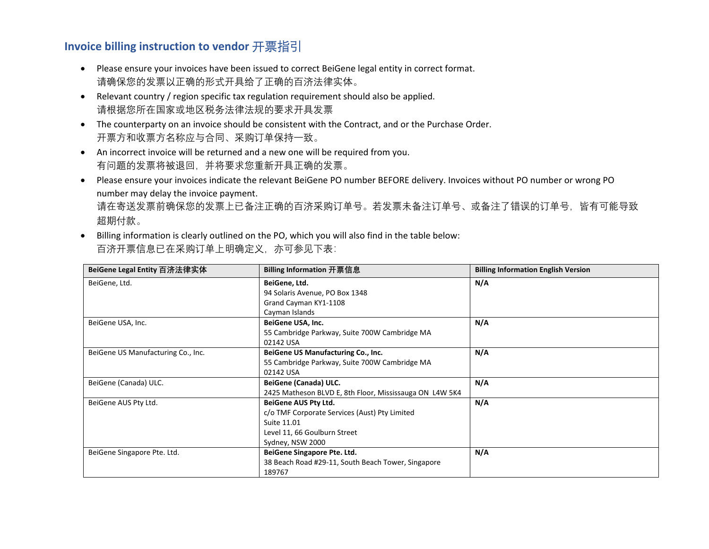## **Invoice billing instruction to vendor** 开票指引

- Please ensure your invoices have been issued to correct BeiGene legal entity in correct format. 请确保您的发票以正确的形式开具给了正确的百济法律实体。
- Relevant country / region specific tax regulation requirement should also be applied. 请根据您所在国家或地区税务法律法规的要求开具发票
- The counterparty on an invoice should be consistent with the Contract, and or the Purchase Order. 开票方和收票方名称应与合同、采购订单保持一致。
- An incorrect invoice will be returned and a new one will be required from you. 有问题的发票将被退回,并将要求您重新开具正确的发票。
- Please ensure your invoices indicate the relevant BeiGene PO number BEFORE delivery. Invoices without PO number or wrong PO number may delay the invoice payment. 请在寄送发票前确保您的发票上已备注正确的百济采购订单号。若发票未备注订单号、或备注了错误的订单号,皆有可能导致 超期付款。
- Billing information is clearly outlined on the PO, which you will also find in the table below: 百济开票信息已在采购订单上明确定义,亦可参见下表:

| BeiGene Legal Entity 百济法律实体        | Billing Information 开票信息                                | <b>Billing Information English Version</b> |
|------------------------------------|---------------------------------------------------------|--------------------------------------------|
| BeiGene, Ltd.                      | BeiGene, Ltd.                                           | N/A                                        |
|                                    | 94 Solaris Avenue, PO Box 1348                          |                                            |
|                                    | Grand Cayman KY1-1108                                   |                                            |
|                                    | Cayman Islands                                          |                                            |
| BeiGene USA, Inc.                  | BeiGene USA, Inc.                                       | N/A                                        |
|                                    | 55 Cambridge Parkway, Suite 700W Cambridge MA           |                                            |
|                                    | 02142 USA                                               |                                            |
| BeiGene US Manufacturing Co., Inc. | BeiGene US Manufacturing Co., Inc.                      | N/A                                        |
|                                    | 55 Cambridge Parkway, Suite 700W Cambridge MA           |                                            |
|                                    | 02142 USA                                               |                                            |
| BeiGene (Canada) ULC.              | BeiGene (Canada) ULC.                                   | N/A                                        |
|                                    | 2425 Matheson BLVD E, 8th Floor, Mississauga ON L4W 5K4 |                                            |
| BeiGene AUS Pty Ltd.               | <b>BeiGene AUS Pty Ltd.</b>                             | N/A                                        |
|                                    | c/o TMF Corporate Services (Aust) Pty Limited           |                                            |
|                                    | Suite 11.01                                             |                                            |
|                                    | Level 11, 66 Goulburn Street                            |                                            |
|                                    | Sydney, NSW 2000                                        |                                            |
| BeiGene Singapore Pte. Ltd.        | BeiGene Singapore Pte. Ltd.                             | N/A                                        |
|                                    | 38 Beach Road #29-11, South Beach Tower, Singapore      |                                            |
|                                    | 189767                                                  |                                            |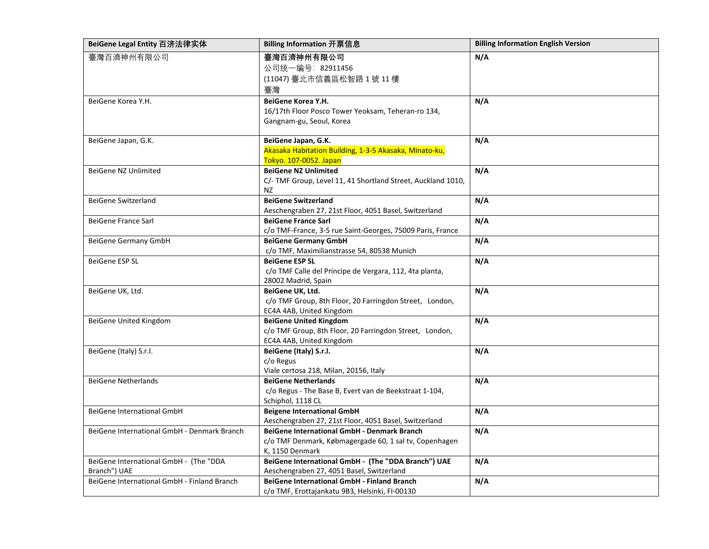| BeiGene Legal Entity 百济法律实体                 | <b>Billing Information 开票信息</b>                                             | <b>Billing Information English Version</b> |
|---------------------------------------------|-----------------------------------------------------------------------------|--------------------------------------------|
| 臺灣百濟神州有限公司                                  | 臺灣百濟神州有限公司                                                                  | N/A                                        |
|                                             | 公司统一编号: 82911456                                                            |                                            |
|                                             | (11047) 臺北市信義區松智路 1號 11樓                                                    |                                            |
|                                             | 臺灣                                                                          |                                            |
| BeiGene Korea Y.H.                          | BeiGene Korea Y.H.                                                          | N/A                                        |
|                                             | 16/17th Floor Posco Tower Yeoksam, Teheran-ro 134,                          |                                            |
|                                             | Gangnam-gu, Seoul, Korea                                                    |                                            |
| BeiGene Japan, G.K.                         | BeiGene Japan, G.K.                                                         | N/A                                        |
|                                             | Akasaka Habitation Building, 1-3-5 Akasaka, Minato-ku,                      |                                            |
|                                             | Tokyo. 107-0052. Japan                                                      |                                            |
| BeiGene NZ Unlimited                        | <b>BeiGene NZ Unlimited</b>                                                 | N/A                                        |
|                                             | C/- TMF Group, Level 11, 41 Shortland Street, Auckland 1010,                |                                            |
|                                             | NZ.                                                                         |                                            |
| <b>BeiGene Switzerland</b>                  | <b>BeiGene Switzerland</b>                                                  | N/A                                        |
|                                             | Aeschengraben 27, 21st Floor, 4051 Basel, Switzerland                       |                                            |
| BeiGene France Sarl                         | <b>BeiGene France Sarl</b>                                                  | N/A                                        |
|                                             | c/o TMF-France, 3-5 rue Saint-Georges, 75009 Paris, France                  |                                            |
| <b>BeiGene Germany GmbH</b>                 | <b>BeiGene Germany GmbH</b>                                                 | N/A                                        |
|                                             | c/o TMF, Maximilianstrasse 54, 80538 Munich                                 |                                            |
| <b>BeiGene ESP SL</b>                       | <b>BeiGene ESP SL</b>                                                       | N/A                                        |
|                                             | c/o TMF Calle del Principe de Vergara, 112, 4ta planta,                     |                                            |
|                                             | 28002 Madrid, Spain                                                         |                                            |
| BeiGene UK, Ltd.                            | BeiGene UK, Ltd.                                                            | N/A                                        |
|                                             | c/o TMF Group, 8th Floor, 20 Farringdon Street, London,                     |                                            |
|                                             | EC4A 4AB, United Kingdom                                                    |                                            |
| BeiGene United Kingdom                      | <b>BeiGene United Kingdom</b>                                               | N/A                                        |
|                                             | c/o TMF Group, 8th Floor, 20 Farringdon Street, London,                     |                                            |
|                                             | EC4A 4AB, United Kingdom                                                    |                                            |
| BeiGene (Italy) S.r.l.                      | BeiGene (Italy) S.r.l.                                                      | N/A                                        |
|                                             | c/o Regus                                                                   |                                            |
| <b>BeiGene Netherlands</b>                  | Viale certosa 218, Milan, 20156, Italy<br><b>BeiGene Netherlands</b>        | N/A                                        |
|                                             |                                                                             |                                            |
|                                             | c/o Regus - The Base B, Evert van de Beekstraat 1-104,<br>Schiphol, 1118 CL |                                            |
| <b>BeiGene International GmbH</b>           | <b>Beigene International GmbH</b>                                           | N/A                                        |
|                                             | Aeschengraben 27, 21st Floor, 4051 Basel, Switzerland                       |                                            |
| BeiGene International GmbH - Denmark Branch | BeiGene International GmbH - Denmark Branch                                 | N/A                                        |
|                                             | c/o TMF Denmark, Købmagergade 60, 1 sal tv, Copenhagen                      |                                            |
|                                             | K, 1150 Denmark                                                             |                                            |
| BeiGene International GmbH - (The "DDA      | BeiGene International GmbH - (The "DDA Branch") UAE                         | N/A                                        |
| Branch") UAE                                | Aeschengraben 27, 4051 Basel, Switzerland                                   |                                            |
| BeiGene International GmbH - Finland Branch | <b>BeiGene International GmbH - Finland Branch</b>                          | N/A                                        |
|                                             | c/o TMF, Erottajankatu 9B3, Helsinki, FI-00130                              |                                            |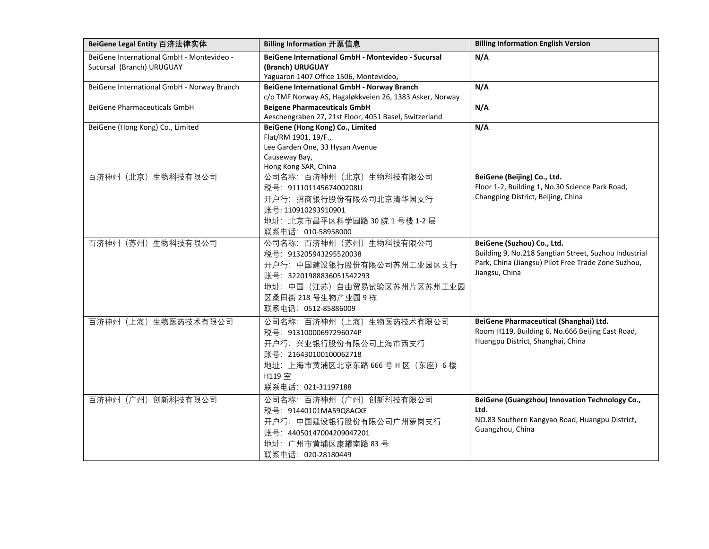| BeiGene Legal Entity 百济法律实体                                            | Billing Information 开票信息                                                                                                                                                                  | <b>Billing Information English Version</b>                                                                                                                   |
|------------------------------------------------------------------------|-------------------------------------------------------------------------------------------------------------------------------------------------------------------------------------------|--------------------------------------------------------------------------------------------------------------------------------------------------------------|
| BeiGene International GmbH - Montevideo -<br>Sucursal (Branch) URUGUAY | BeiGene International GmbH - Montevideo - Sucursal<br>(Branch) URUGUAY<br>Yaguaron 1407 Office 1506, Montevideo,                                                                          | N/A                                                                                                                                                          |
| BeiGene International GmbH - Norway Branch                             | BeiGene International GmbH - Norway Branch<br>c/o TMF Norway AS, Hagaløkkveien 26, 1383 Asker, Norway                                                                                     | N/A                                                                                                                                                          |
| BeiGene Pharmaceuticals GmbH                                           | <b>Beigene Pharmaceuticals GmbH</b><br>Aeschengraben 27, 21st Floor, 4051 Basel, Switzerland                                                                                              | N/A                                                                                                                                                          |
| BeiGene (Hong Kong) Co., Limited                                       | BeiGene (Hong Kong) Co., Limited<br>Flat/RM 1901, 19/F.,<br>Lee Garden One, 33 Hysan Avenue<br>Causeway Bay,<br>Hong Kong SAR, China                                                      | N/A                                                                                                                                                          |
| 百济神州 (北京) 生物科技有限公司                                                     | 公司名称: 百济神州 (北京) 生物科技有限公司<br>税号: 91110114567400208U<br>开户行:招商银行股份有限公司北京清华园支行<br>账号: 110910293910901<br>地址: 北京市昌平区科学园路 30院1号楼 1-2层<br>联系电话: 010-58958000                                    | BeiGene (Beijing) Co., Ltd.<br>Floor 1-2, Building 1, No.30 Science Park Road,<br>Changping District, Beijing, China                                         |
| 百济神州 (苏州) 生物科技有限公司                                                     | 公司名称: 百济神州 (苏州) 生物科技有限公司<br>税号: 913205943295520038<br>开户行: 中国建设银行股份有限公司苏州工业园区支行<br>账号: 32201988836051542293<br>地址: 中国 (江苏) 自由贸易试验区苏州片区苏州工业园<br>区桑田街 218 号生物产业园 9 栋<br>联系电话: 0512-85886009 | BeiGene (Suzhou) Co., Ltd.<br>Building 9, No.218 Sangtian Street, Suzhou Industrial<br>Park, China (Jiangsu) Pilot Free Trade Zone Suzhou,<br>Jiangsu, China |
| 百济神州 (上海) 生物医药技术有限公司                                                   | 公司名称: 百济神州 (上海) 生物医药技术有限公司<br>税号: 91310000697296074P<br>开户行: 兴业银行股份有限公司上海市西支行<br>账号: 216430100100062718<br>地址: 上海市黄浦区北京东路 666 号 H 区 (东座) 6 楼<br>H119 室<br>联系电话: 021-31197188              | BeiGene Pharmaceutical (Shanghai) Ltd.<br>Room H119, Building 6, No.666 Beijing East Road,<br>Huangpu District, Shanghai, China                              |
| 百济神州 (广州) 创新科技有限公司                                                     | 公司名称: 百济神州 (广州) 创新科技有限公司<br>税号: 91440101MA59Q8ACXE<br>开户行: 中国建设银行股份有限公司广州萝岗支行<br>账号: 44050147004209047201<br>地址: 广州市黄埔区康耀南路 83号<br>联系电话: 020-28180449                                     | BeiGene (Guangzhou) Innovation Technology Co.,<br>Ltd.<br>NO.83 Southern Kangyao Road, Huangpu District,<br>Guangzhou, China                                 |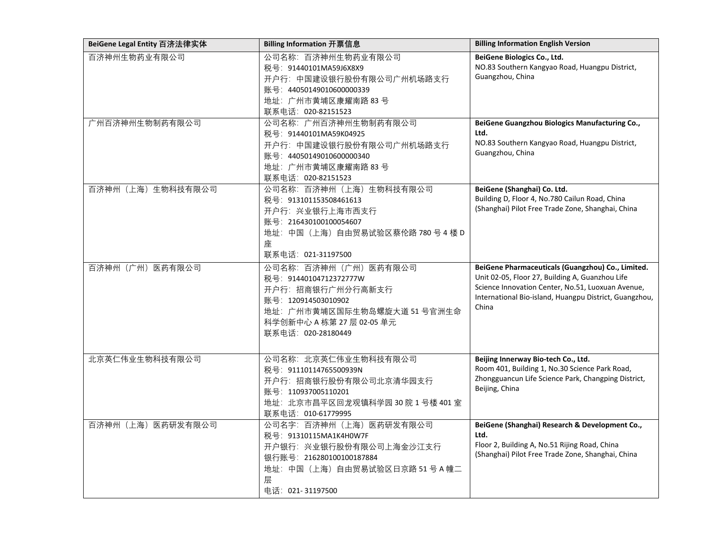| BeiGene Legal Entity 百济法律实体 | Billing Information 开票信息                                                                                                                                                        | <b>Billing Information English Version</b>                                                                                                                                                                                   |
|-----------------------------|---------------------------------------------------------------------------------------------------------------------------------------------------------------------------------|------------------------------------------------------------------------------------------------------------------------------------------------------------------------------------------------------------------------------|
| 百济神州生物药业有限公司                | 公司名称: 百济神州生物药业有限公司<br>税号: 91440101MA59J6X8X9<br>开户行: 中国建设银行股份有限公司广州机场路支行<br>账号: 44050149010600000339<br>地址: 广州市黄埔区康耀南路 83号<br>联系电话: 020-82151523                                | BeiGene Biologics Co., Ltd.<br>NO.83 Southern Kangyao Road, Huangpu District,<br>Guangzhou, China                                                                                                                            |
| 广州百济神州生物制药有限公司              | 公司名称: 广州百济神州生物制药有限公司<br>税号: 91440101MA59K04925<br>开户行: 中国建设银行股份有限公司广州机场路支行<br>账号: 44050149010600000340<br>地址: 广州市黄埔区康耀南路 83号<br>联系电话: 020-82151523                              | BeiGene Guangzhou Biologics Manufacturing Co.,<br>Ltd.<br>NO.83 Southern Kangyao Road, Huangpu District,<br>Guangzhou, China                                                                                                 |
| 百济神州 (上海) 生物科技有限公司          | 公司名称: 百济神州 (上海) 生物科技有限公司<br>税号: 913101153508461613<br>开户行: 兴业银行上海市西支行<br>账号: 216430100100054607<br>地址: 中国 (上海) 自由贸易试验区蔡伦路 780号4楼D<br>座<br>联系电话: 021-31197500                    | BeiGene (Shanghai) Co. Ltd.<br>Building D, Floor 4, No.780 Cailun Road, China<br>(Shanghai) Pilot Free Trade Zone, Shanghai, China                                                                                           |
| 百济神州 (广州) 医药有限公司            | 公司名称: 百济神州 (广州) 医药有限公司<br>税号: 91440104712372777W<br>开户行: 招商银行广州分行高新支行<br>账号: 120914503010902<br>地址: 广州市黄埔区国际生物岛螺旋大道 51 号官洲生命<br>科学创新中心 A 栋第 27 层 02-05 单元<br>联系电话: 020-28180449 | BeiGene Pharmaceuticals (Guangzhou) Co., Limited.<br>Unit 02-05, Floor 27, Building A, Guanzhou Life<br>Science Innovation Center, No.51, Luoxuan Avenue,<br>International Bio-island, Huangpu District, Guangzhou,<br>China |
| 北京英仁伟业生物科技有限公司              | 公司名称: 北京英仁伟业生物科技有限公司<br>税号: 91110114765500939N<br>开户行: 招商银行股份有限公司北京清华园支行<br>账号: 110937005110201<br>地址: 北京市昌平区回龙观镇科学园 30院1号楼 401室<br>联系电话: 010-61779995                          | Beijing Innerway Bio-tech Co., Ltd.<br>Room 401, Building 1, No.30 Science Park Road,<br>Zhongguancun Life Science Park, Changping District,<br>Beijing, China                                                               |
| 百济神州(上海)医药研发有限公司            | 公司名字: 百济神州 (上海) 医药研发有限公司<br>税号: 91310115MA1K4H0W7F<br>开户银行: 兴业银行股份有限公司上海金沙江支行<br>银行账号: 216280100100187884<br>地址: 中国 (上海) 自由贸易试验区日京路 51 号 A 幢二<br>层<br>电话: 021-31197500          | BeiGene (Shanghai) Research & Development Co.,<br>Ltd.<br>Floor 2, Building A, No.51 Rijing Road, China<br>(Shanghai) Pilot Free Trade Zone, Shanghai, China                                                                 |